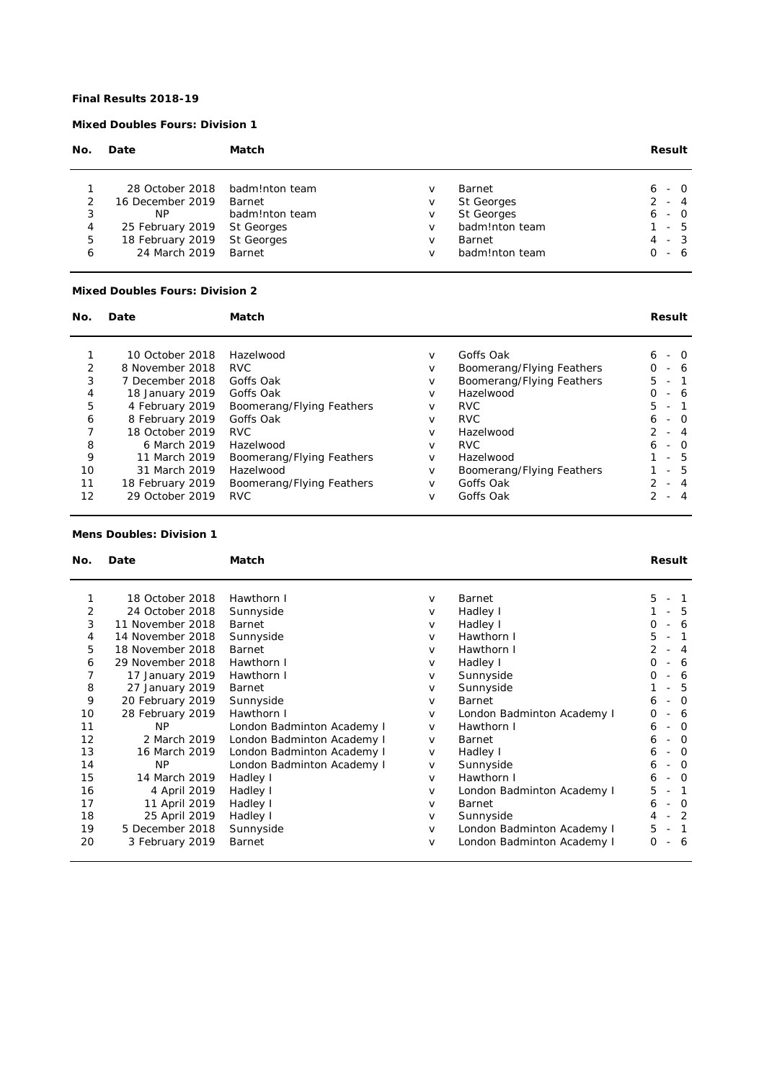### **Final Results 2018-19**

# **Mixed Doubles Fours: Division 1**

| Date             | Match          |                                     |                   | Result     |
|------------------|----------------|-------------------------------------|-------------------|------------|
|                  | badm!nton team | v                                   | Barnet            | - 0<br>6.  |
| 16 December 2019 | Barnet         | v                                   | <b>St Georges</b> | $-4$       |
| ΝP               | badm!nton team | V                                   | <b>St Georges</b> | $-$ 0<br>6 |
|                  | St Georges     | v                                   | badm!nton team    | - 5        |
| 18 February 2019 | St Georges     | v                                   | Barnet            | $-3$<br>4  |
| 24 March 2019    | Barnet         | v                                   | badm!nton team    | - 6        |
|                  |                | 28 October 2018<br>25 February 2019 |                   |            |

### **Mixed Doubles Fours: Division 2**

| No. | Date             | Match                     |        |                           | Result                                      |  |  |
|-----|------------------|---------------------------|--------|---------------------------|---------------------------------------------|--|--|
|     |                  |                           |        |                           |                                             |  |  |
|     | 10 October 2018  | Hazelwood                 | $\vee$ | Goffs Oak                 | 6<br>- 0                                    |  |  |
| 2   | 8 November 2018  | <b>RVC</b>                | $\vee$ | Boomerang/Flying Feathers | $\Omega$<br>- 6<br>$\overline{\phantom{a}}$ |  |  |
| 3   | 7 December 2018  | Goffs Oak                 | $\vee$ | Boomerang/Flying Feathers | $5 -$<br>$\sim$                             |  |  |
| 4   | 18 January 2019  | Goffs Oak                 | $\vee$ | Hazelwood                 | $\Omega$<br>- 6                             |  |  |
| 5   | 4 February 2019  | Boomerang/Flying Feathers | $\vee$ | <b>RVC</b>                | $5 -$                                       |  |  |
| 6   | 8 February 2019  | Goffs Oak                 | $\vee$ | <b>RVC</b>                | 6<br>- 0                                    |  |  |
|     | 18 October 2019  | <b>RVC</b>                | $\vee$ | Hazelwood                 | $\mathcal{P}$<br>- 4                        |  |  |
| 8   | 6 March 2019     | Hazelwood                 | $\vee$ | <b>RVC</b>                | - 0<br>6                                    |  |  |
| 9   | 11 March 2019    | Boomerang/Flying Feathers | V      | Hazelwood                 | - 5                                         |  |  |
| 10  | 31 March 2019    | Hazelwood                 | V      | Boomerang/Flying Feathers | $-5$                                        |  |  |
| 11  | 18 February 2019 | Boomerang/Flying Feathers | $\vee$ | Goffs Oak                 | 4<br>$\overline{\phantom{a}}$               |  |  |
| 12  | 29 October 2019  | <b>RVC</b>                | V      | Goffs Oak                 | -4                                          |  |  |

# **Mens Doubles: Division 1**

| Match<br>No.<br>Date |                  |                            |        |                            | Result              |
|----------------------|------------------|----------------------------|--------|----------------------------|---------------------|
|                      | 18 October 2018  | Hawthorn I                 | V      | <b>Barnet</b>              | 5                   |
| 2                    | 24 October 2018  | Sunnyside                  | v      | Hadley I                   | -5                  |
| 3                    | 11 November 2018 | Barnet                     | V      | Hadley I                   | Ο<br>-6             |
| 4                    | 14 November 2018 | Sunnyside                  | V      | Hawthorn I                 | 5                   |
| 5                    | 18 November 2018 | Barnet                     | V      | Hawthorn I                 | $\overline{4}$      |
| 6                    | 29 November 2018 | Hawthorn I                 | V      | Hadley I                   | 0<br>-6             |
| 7                    | 17 January 2019  | Hawthorn I                 | $\vee$ | Sunnyside                  | Ο<br>-6             |
| 8                    | 27 January 2019  | Barnet                     | V      | Sunnyside                  | -5                  |
| 9                    | 20 February 2019 | Sunnyside                  | V      | Barnet                     | $\Omega$<br>6       |
| 10                   | 28 February 2019 | Hawthorn I                 | V      | London Badminton Academy I | 0<br>-6             |
| 11                   | NP.              | London Badminton Academy I | $\vee$ | Hawthorn I                 | 6<br>- 0            |
| 12                   | 2 March 2019     | London Badminton Academy I | $\vee$ | Barnet                     | $\Omega$<br>6       |
| 13                   | 16 March 2019    | London Badminton Academy I | V      | Hadley I                   | $\Omega$<br>6       |
| 14                   | NP.              | London Badminton Academy I | V      | Sunnyside                  | - 0<br>6            |
| 15                   | 14 March 2019    | Hadley I                   | $\vee$ | Hawthorn I                 | - 0<br>6            |
| 16                   | 4 April 2019     | Hadley I                   | V      | London Badminton Academy I | 5                   |
| 17                   | 11 April 2019    | Hadley I                   | $\vee$ | Barnet                     | 6<br>- 0            |
| 18                   | 25 April 2019    | Hadley I                   | V      | Sunnyside                  | -2<br>4             |
| 19                   | 5 December 2018  | Sunnyside                  | $\vee$ | London Badminton Academy I | 5<br>$\overline{1}$ |
| 20                   | 3 February 2019  | Barnet                     | v      | London Badminton Academy I | 0<br>- 6            |